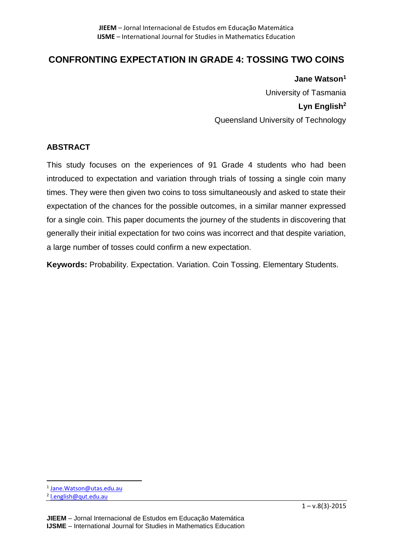# **CONFRONTING EXPECTATION IN GRADE 4: TOSSING TWO COINS**

**Jane Watson<sup>1</sup>** University of Tasmania **Lyn English<sup>2</sup>** Queensland University of Technology

# **ABSTRACT**

This study focuses on the experiences of 91 Grade 4 students who had been introduced to expectation and variation through trials of tossing a single coin many times. They were then given two coins to toss simultaneously and asked to state their expectation of the chances for the possible outcomes, in a similar manner expressed for a single coin. This paper documents the journey of the students in discovering that generally their initial expectation for two coins was incorrect and that despite variation, a large number of tosses could confirm a new expectation.

**Keywords:** Probability. Expectation. Variation. Coin Tossing. Elementary Students.

 $\overline{a}$ 

<sup>&</sup>lt;sup>1</sup> Jane. Watson@utas.edu.au

<sup>&</sup>lt;sup>2</sup> l.english@qut.edu.au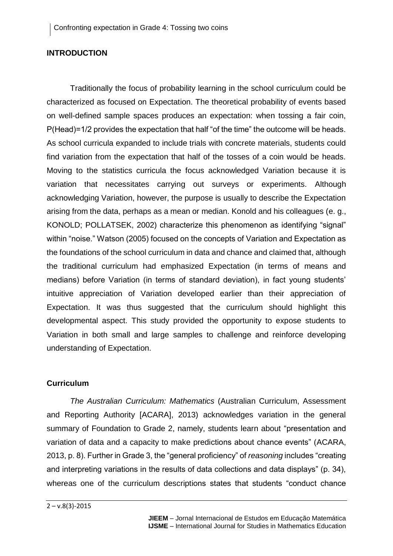### **INTRODUCTION**

Traditionally the focus of probability learning in the school curriculum could be characterized as focused on Expectation. The theoretical probability of events based on well-defined sample spaces produces an expectation: when tossing a fair coin, P(Head)=1/2 provides the expectation that half "of the time" the outcome will be heads. As school curricula expanded to include trials with concrete materials, students could find variation from the expectation that half of the tosses of a coin would be heads. Moving to the statistics curricula the focus acknowledged Variation because it is variation that necessitates carrying out surveys or experiments. Although acknowledging Variation, however, the purpose is usually to describe the Expectation arising from the data, perhaps as a mean or median. Konold and his colleagues (e. g., KONOLD; POLLATSEK, 2002) characterize this phenomenon as identifying "signal" within "noise." Watson (2005) focused on the concepts of Variation and Expectation as the foundations of the school curriculum in data and chance and claimed that, although the traditional curriculum had emphasized Expectation (in terms of means and medians) before Variation (in terms of standard deviation), in fact young students' intuitive appreciation of Variation developed earlier than their appreciation of Expectation. It was thus suggested that the curriculum should highlight this developmental aspect. This study provided the opportunity to expose students to Variation in both small and large samples to challenge and reinforce developing understanding of Expectation.

# **Curriculum**

*The Australian Curriculum: Mathematics* (Australian Curriculum, Assessment and Reporting Authority [ACARA], 2013) acknowledges variation in the general summary of Foundation to Grade 2, namely, students learn about "presentation and variation of data and a capacity to make predictions about chance events" (ACARA, 2013, p. 8). Further in Grade 3, the "general proficiency" of *reasoning* includes "creating and interpreting variations in the results of data collections and data displays" (p. 34), whereas one of the curriculum descriptions states that students "conduct chance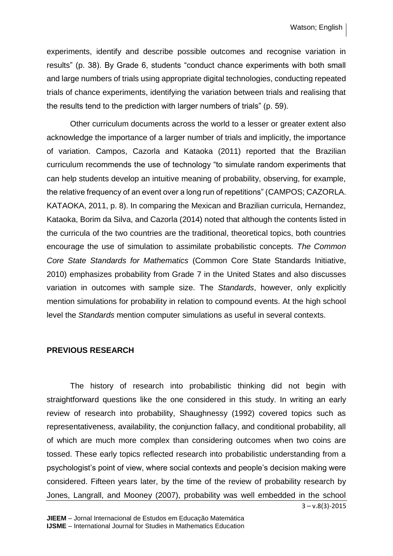experiments, identify and describe possible outcomes and recognise variation in results" (p. 38). By Grade 6, students "conduct chance experiments with both small and large numbers of trials using appropriate digital technologies, conducting repeated trials of chance experiments, identifying the variation between trials and realising that the results tend to the prediction with larger numbers of trials" (p. 59).

Other curriculum documents across the world to a lesser or greater extent also acknowledge the importance of a larger number of trials and implicitly, the importance of variation. Campos, Cazorla and Kataoka (2011) reported that the Brazilian curriculum recommends the use of technology "to simulate random experiments that can help students develop an intuitive meaning of probability, observing, for example, the relative frequency of an event over a long run of repetitions" (CAMPOS; CAZORLA. KATAOKA, 2011, p. 8). In comparing the Mexican and Brazilian curricula, Hernandez, Kataoka, Borim da Silva, and Cazorla (2014) noted that although the contents listed in the curricula of the two countries are the traditional, theoretical topics, both countries encourage the use of simulation to assimilate probabilistic concepts. *The Common Core State Standards for Mathematics* (Common Core State Standards Initiative, 2010) emphasizes probability from Grade 7 in the United States and also discusses variation in outcomes with sample size. The *Standards*, however, only explicitly mention simulations for probability in relation to compound events. At the high school level the *Standards* mention computer simulations as useful in several contexts.

#### **PREVIOUS RESEARCH**

The history of research into probabilistic thinking did not begin with straightforward questions like the one considered in this study. In writing an early review of research into probability, Shaughnessy (1992) covered topics such as representativeness, availability, the conjunction fallacy, and conditional probability, all of which are much more complex than considering outcomes when two coins are tossed. These early topics reflected research into probabilistic understanding from a psychologist's point of view, where social contexts and people's decision making were considered. Fifteen years later, by the time of the review of probability research by Jones, Langrall, and Mooney (2007), probability was well embedded in the school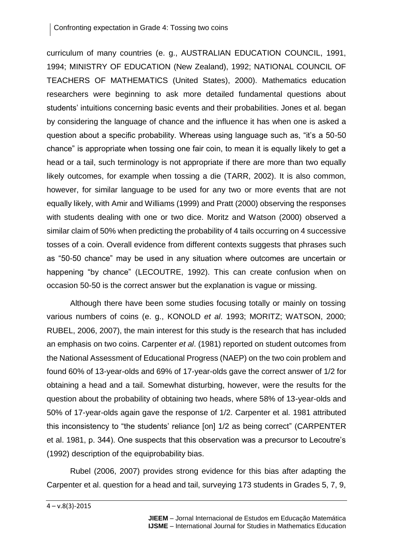curriculum of many countries (e. g., AUSTRALIAN EDUCATION COUNCIL, 1991, 1994; MINISTRY OF EDUCATION (New Zealand), 1992; NATIONAL COUNCIL OF TEACHERS OF MATHEMATICS (United States), 2000). Mathematics education researchers were beginning to ask more detailed fundamental questions about students' intuitions concerning basic events and their probabilities. Jones et al. began by considering the language of chance and the influence it has when one is asked a question about a specific probability. Whereas using language such as, "it's a 50-50 chance" is appropriate when tossing one fair coin, to mean it is equally likely to get a head or a tail, such terminology is not appropriate if there are more than two equally likely outcomes, for example when tossing a die (TARR, 2002). It is also common, however, for similar language to be used for any two or more events that are not equally likely, with Amir and Williams (1999) and Pratt (2000) observing the responses with students dealing with one or two dice. Moritz and Watson (2000) observed a similar claim of 50% when predicting the probability of 4 tails occurring on 4 successive tosses of a coin. Overall evidence from different contexts suggests that phrases such as "50-50 chance" may be used in any situation where outcomes are uncertain or happening "by chance" (LECOUTRE, 1992). This can create confusion when on occasion 50-50 is the correct answer but the explanation is vague or missing.

Although there have been some studies focusing totally or mainly on tossing various numbers of coins (e. g., KONOLD *et al*. 1993; MORITZ; WATSON, 2000; RUBEL, 2006, 2007), the main interest for this study is the research that has included an emphasis on two coins. Carpenter *et al*. (1981) reported on student outcomes from the National Assessment of Educational Progress (NAEP) on the two coin problem and found 60% of 13-year-olds and 69% of 17-year-olds gave the correct answer of 1/2 for obtaining a head and a tail. Somewhat disturbing, however, were the results for the question about the probability of obtaining two heads, where 58% of 13-year-olds and 50% of 17-year-olds again gave the response of 1/2. Carpenter et al. 1981 attributed this inconsistency to "the students' reliance [on] 1/2 as being correct" (CARPENTER et al. 1981, p. 344). One suspects that this observation was a precursor to Lecoutre's (1992) description of the equiprobability bias.

Rubel (2006, 2007) provides strong evidence for this bias after adapting the Carpenter et al. question for a head and tail, surveying 173 students in Grades 5, 7, 9,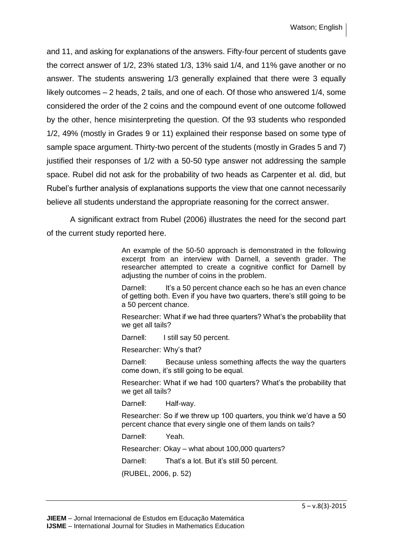and 11, and asking for explanations of the answers. Fifty-four percent of students gave the correct answer of 1/2, 23% stated 1/3, 13% said 1/4, and 11% gave another or no answer. The students answering 1/3 generally explained that there were 3 equally likely outcomes – 2 heads, 2 tails, and one of each. Of those who answered 1/4, some considered the order of the 2 coins and the compound event of one outcome followed by the other, hence misinterpreting the question. Of the 93 students who responded 1/2, 49% (mostly in Grades 9 or 11) explained their response based on some type of sample space argument. Thirty-two percent of the students (mostly in Grades 5 and 7) justified their responses of 1/2 with a 50-50 type answer not addressing the sample space. Rubel did not ask for the probability of two heads as Carpenter et al. did, but Rubel's further analysis of explanations supports the view that one cannot necessarily believe all students understand the appropriate reasoning for the correct answer.

A significant extract from Rubel (2006) illustrates the need for the second part of the current study reported here.

> An example of the 50-50 approach is demonstrated in the following excerpt from an interview with Darnell, a seventh grader. The researcher attempted to create a cognitive conflict for Darnell by adjusting the number of coins in the problem.

> Darnell: It's a 50 percent chance each so he has an even chance of getting both. Even if you have two quarters, there's still going to be a 50 percent chance.

> Researcher: What if we had three quarters? What's the probability that we get all tails?

Darnell: I still say 50 percent.

Researcher: Why's that?

Darnell: Because unless something affects the way the quarters come down, it's still going to be equal.

Researcher: What if we had 100 quarters? What's the probability that we get all tails?

Darnell: Half-way.

Researcher: So if we threw up 100 quarters, you think we'd have a 50 percent chance that every single one of them lands on tails?

Darnell: Yeah.

Researcher: Okay – what about 100,000 quarters?

Darnell: That's a lot. But it's still 50 percent.

(RUBEL, 2006, p. 52)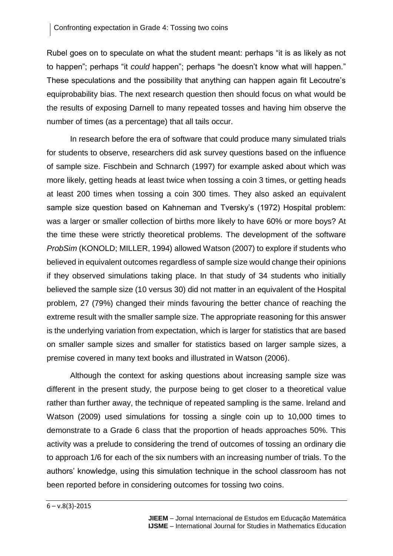Rubel goes on to speculate on what the student meant: perhaps "it is as likely as not to happen"; perhaps "it *could* happen"; perhaps "he doesn't know what will happen." These speculations and the possibility that anything can happen again fit Lecoutre's equiprobability bias. The next research question then should focus on what would be the results of exposing Darnell to many repeated tosses and having him observe the number of times (as a percentage) that all tails occur.

In research before the era of software that could produce many simulated trials for students to observe, researchers did ask survey questions based on the influence of sample size. Fischbein and Schnarch (1997) for example asked about which was more likely, getting heads at least twice when tossing a coin 3 times, or getting heads at least 200 times when tossing a coin 300 times. They also asked an equivalent sample size question based on Kahneman and Tversky's (1972) Hospital problem: was a larger or smaller collection of births more likely to have 60% or more boys? At the time these were strictly theoretical problems. The development of the software *ProbSim* (KONOLD; MILLER, 1994) allowed Watson (2007) to explore if students who believed in equivalent outcomes regardless of sample size would change their opinions if they observed simulations taking place. In that study of 34 students who initially believed the sample size (10 versus 30) did not matter in an equivalent of the Hospital problem, 27 (79%) changed their minds favouring the better chance of reaching the extreme result with the smaller sample size. The appropriate reasoning for this answer is the underlying variation from expectation, which is larger for statistics that are based on smaller sample sizes and smaller for statistics based on larger sample sizes, a premise covered in many text books and illustrated in Watson (2006).

Although the context for asking questions about increasing sample size was different in the present study, the purpose being to get closer to a theoretical value rather than further away, the technique of repeated sampling is the same. Ireland and Watson (2009) used simulations for tossing a single coin up to 10,000 times to demonstrate to a Grade 6 class that the proportion of heads approaches 50%. This activity was a prelude to considering the trend of outcomes of tossing an ordinary die to approach 1/6 for each of the six numbers with an increasing number of trials. To the authors' knowledge, using this simulation technique in the school classroom has not been reported before in considering outcomes for tossing two coins.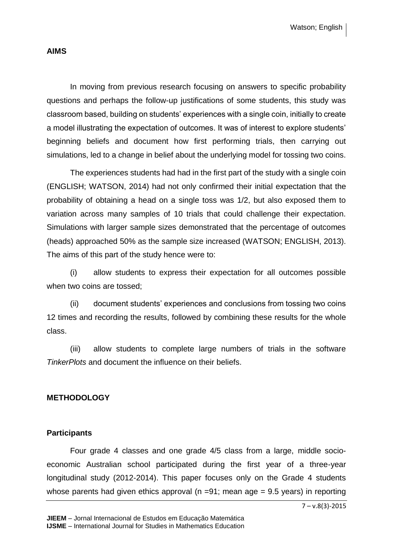Watson; English

#### **AIMS**

In moving from previous research focusing on answers to specific probability questions and perhaps the follow-up justifications of some students, this study was classroom based, building on students' experiences with a single coin, initially to create a model illustrating the expectation of outcomes. It was of interest to explore students' beginning beliefs and document how first performing trials, then carrying out simulations, led to a change in belief about the underlying model for tossing two coins.

The experiences students had had in the first part of the study with a single coin (ENGLISH; WATSON, 2014) had not only confirmed their initial expectation that the probability of obtaining a head on a single toss was 1/2, but also exposed them to variation across many samples of 10 trials that could challenge their expectation. Simulations with larger sample sizes demonstrated that the percentage of outcomes (heads) approached 50% as the sample size increased (WATSON; ENGLISH, 2013). The aims of this part of the study hence were to:

(i) allow students to express their expectation for all outcomes possible when two coins are tossed;

(ii) document students' experiences and conclusions from tossing two coins 12 times and recording the results, followed by combining these results for the whole class.

(iii) allow students to complete large numbers of trials in the software *TinkerPlots* and document the influence on their beliefs.

### **METHODOLOGY**

#### **Participants**

Four grade 4 classes and one grade 4/5 class from a large, middle socioeconomic Australian school participated during the first year of a three-year longitudinal study (2012-2014). This paper focuses only on the Grade 4 students whose parents had given ethics approval ( $n = 91$ ; mean age = 9.5 years) in reporting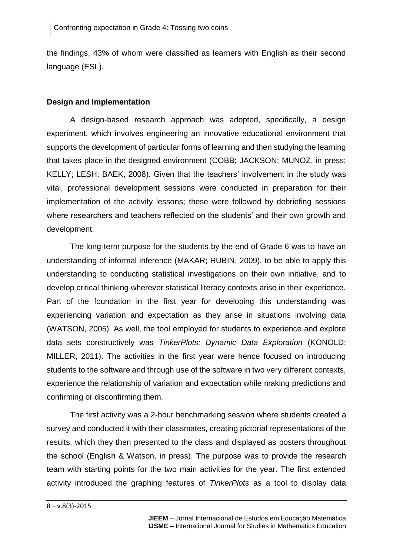the findings, 43% of whom were classified as learners with English as their second language (ESL).

# **Design and Implementation**

A design-based research approach was adopted, specifically, a design experiment, which involves engineering an innovative educational environment that supports the development of particular forms of learning and then studying the learning that takes place in the designed environment (COBB; JACKSON; MUNOZ, in press; KELLY; LESH; BAEK, 2008). Given that the teachers' involvement in the study was vital, professional development sessions were conducted in preparation for their implementation of the activity lessons; these were followed by debriefing sessions where researchers and teachers reflected on the students' and their own growth and development.

The long-term purpose for the students by the end of Grade 6 was to have an understanding of informal inference (MAKAR; RUBIN, 2009), to be able to apply this understanding to conducting statistical investigations on their own initiative, and to develop critical thinking wherever statistical literacy contexts arise in their experience. Part of the foundation in the first year for developing this understanding was experiencing variation and expectation as they arise in situations involving data (WATSON, 2005). As well, the tool employed for students to experience and explore data sets constructively was *TinkerPlots: Dynamic Data Exploration* (KONOLD; MILLER, 2011). The activities in the first year were hence focused on introducing students to the software and through use of the software in two very different contexts, experience the relationship of variation and expectation while making predictions and confirming or disconfirming them.

The first activity was a 2-hour benchmarking session where students created a survey and conducted it with their classmates, creating pictorial representations of the results, which they then presented to the class and displayed as posters throughout the school (English & Watson, in press). The purpose was to provide the research team with starting points for the two main activities for the year. The first extended activity introduced the graphing features of *TinkerPlots* as a tool to display data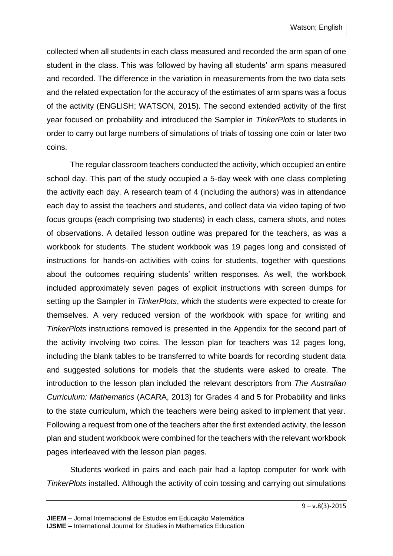collected when all students in each class measured and recorded the arm span of one student in the class. This was followed by having all students' arm spans measured and recorded. The difference in the variation in measurements from the two data sets and the related expectation for the accuracy of the estimates of arm spans was a focus of the activity (ENGLISH; WATSON, 2015). The second extended activity of the first year focused on probability and introduced the Sampler in *TinkerPlots* to students in order to carry out large numbers of simulations of trials of tossing one coin or later two coins.

The regular classroom teachers conducted the activity, which occupied an entire school day. This part of the study occupied a 5-day week with one class completing the activity each day. A research team of 4 (including the authors) was in attendance each day to assist the teachers and students, and collect data via video taping of two focus groups (each comprising two students) in each class, camera shots, and notes of observations. A detailed lesson outline was prepared for the teachers, as was a workbook for students. The student workbook was 19 pages long and consisted of instructions for hands-on activities with coins for students, together with questions about the outcomes requiring students' written responses. As well, the workbook included approximately seven pages of explicit instructions with screen dumps for setting up the Sampler in *TinkerPlots*, which the students were expected to create for themselves. A very reduced version of the workbook with space for writing and *TinkerPlots* instructions removed is presented in the Appendix for the second part of the activity involving two coins. The lesson plan for teachers was 12 pages long, including the blank tables to be transferred to white boards for recording student data and suggested solutions for models that the students were asked to create. The introduction to the lesson plan included the relevant descriptors from *The Australian Curriculum: Mathematics* (ACARA, 2013) for Grades 4 and 5 for Probability and links to the state curriculum, which the teachers were being asked to implement that year. Following a request from one of the teachers after the first extended activity, the lesson plan and student workbook were combined for the teachers with the relevant workbook pages interleaved with the lesson plan pages.

Students worked in pairs and each pair had a laptop computer for work with *TinkerPlots* installed. Although the activity of coin tossing and carrying out simulations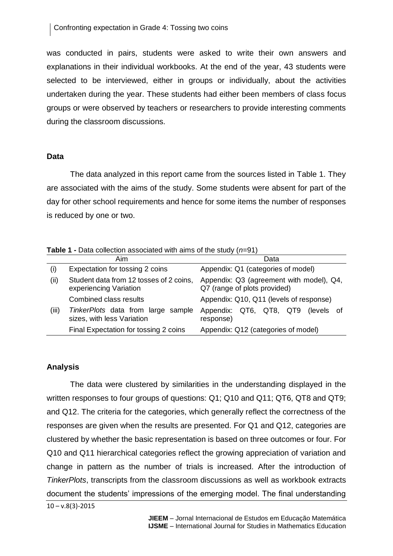was conducted in pairs, students were asked to write their own answers and explanations in their individual workbooks. At the end of the year, 43 students were selected to be interviewed, either in groups or individually, about the activities undertaken during the year. These students had either been members of class focus groups or were observed by teachers or researchers to provide interesting comments during the classroom discussions.

### **Data**

The data analyzed in this report came from the sources listed in Table 1. They are associated with the aims of the study. Some students were absent for part of the day for other school requirements and hence for some items the number of responses is reduced by one or two.

**Table 1 -** Data collection associated with aims of the study (*n*=91)

|       | Aim                                                               | Data                                                                     |  |  |  |  |
|-------|-------------------------------------------------------------------|--------------------------------------------------------------------------|--|--|--|--|
| (i)   | Expectation for tossing 2 coins                                   | Appendix: Q1 (categories of model)                                       |  |  |  |  |
| (ii)  | Student data from 12 tosses of 2 coins,<br>experiencing Variation | Appendix: Q3 (agreement with model), Q4,<br>Q7 (range of plots provided) |  |  |  |  |
|       | <b>Combined class results</b>                                     | Appendix: Q10, Q11 (levels of response)                                  |  |  |  |  |
| (iii) | TinkerPlots data from large sample<br>sizes, with less Variation  | Appendix: QT6, QT8, QT9<br>(levels of<br>response)                       |  |  |  |  |
|       | Final Expectation for tossing 2 coins                             | Appendix: Q12 (categories of model)                                      |  |  |  |  |

# **Analysis**

The data were clustered by similarities in the understanding displayed in the written responses to four groups of questions: Q1; Q10 and Q11; QT6, QT8 and QT9; and Q12. The criteria for the categories, which generally reflect the correctness of the responses are given when the results are presented. For Q1 and Q12, categories are clustered by whether the basic representation is based on three outcomes or four. For Q10 and Q11 hierarchical categories reflect the growing appreciation of variation and change in pattern as the number of trials is increased. After the introduction of *TinkerPlots*, transcripts from the classroom discussions as well as workbook extracts document the students' impressions of the emerging model. The final understanding

 $10 - v.8(3) - 2015$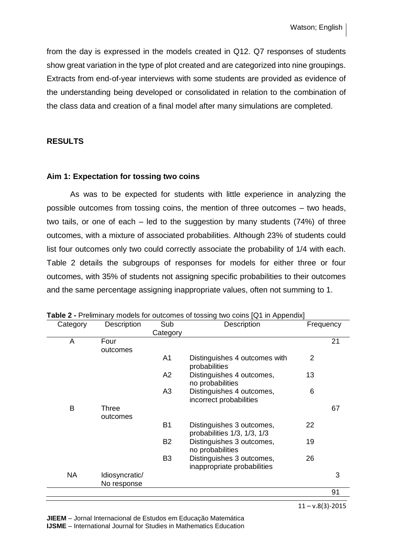from the day is expressed in the models created in Q12. Q7 responses of students show great variation in the type of plot created and are categorized into nine groupings. Extracts from end-of-year interviews with some students are provided as evidence of the understanding being developed or consolidated in relation to the combination of the class data and creation of a final model after many simulations are completed.

#### **RESULTS**

#### **Aim 1: Expectation for tossing two coins**

As was to be expected for students with little experience in analyzing the possible outcomes from tossing coins, the mention of three outcomes – two heads, two tails, or one of each – led to the suggestion by many students (74%) of three outcomes, with a mixture of associated probabilities. Although 23% of students could list four outcomes only two could correctly associate the probability of 1/4 with each. Table 2 details the subgroups of responses for models for either three or four outcomes, with 35% of students not assigning specific probabilities to their outcomes and the same percentage assigning inappropriate values, often not summing to 1.

| Category  | Description    | Sub            | Description                                                      |                | Frequency |
|-----------|----------------|----------------|------------------------------------------------------------------|----------------|-----------|
|           |                | Category       |                                                                  |                |           |
| A         | Four           |                |                                                                  |                | 21        |
|           | outcomes       |                |                                                                  |                |           |
|           |                | A <sub>1</sub> | Distinguishes 4 outcomes with<br>probabilities                   | $\overline{2}$ |           |
|           |                | A2             | Distinguishes 4 outcomes,<br>no probabilities                    | 13             |           |
|           |                | A <sub>3</sub> | Distinguishes 4 outcomes,<br>incorrect probabilities             | 6              |           |
| B         | Three          |                |                                                                  |                | 67        |
|           | outcomes       |                |                                                                  |                |           |
|           |                | <b>B1</b>      | Distinguishes 3 outcomes,<br>probabilities $1/3$ , $1/3$ , $1/3$ | 22             |           |
|           |                | <b>B2</b>      | Distinguishes 3 outcomes,<br>no probabilities                    | 19             |           |
|           |                | B <sub>3</sub> | Distinguishes 3 outcomes,<br>inappropriate probabilities         | 26             |           |
| <b>NA</b> | Idiosyncratic/ |                |                                                                  |                | 3         |
|           | No response    |                |                                                                  |                |           |
|           |                |                |                                                                  |                | 91        |

**Table 2 -** Preliminary models for outcomes of tossing two coins [Q1 in Appendix]

 $11 - v.8(3) - 2015$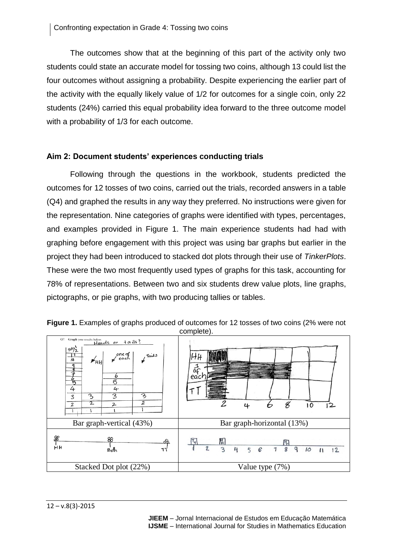The outcomes show that at the beginning of this part of the activity only two students could state an accurate model for tossing two coins, although 13 could list the four outcomes without assigning a probability. Despite experiencing the earlier part of the activity with the equally likely value of 1/2 for outcomes for a single coin, only 22 students (24%) carried this equal probability idea forward to the three outcome model with a probability of 1/3 for each outcome.

# **Aim 2: Document students' experiences conducting trials**

Following through the questions in the workbook, students predicted the outcomes for 12 tosses of two coins, carried out the trials, recorded answers in a table (Q4) and graphed the results in any way they preferred. No instructions were given for the representation. Nine categories of graphs were identified with types, percentages, and examples provided in Figure 1. The main experience students had had with graphing before engagement with this project was using bar graphs but earlier in the project they had been introduced to stacked dot plots through their use of *TinkerPlots*. These were the two most frequently used types of graphs for this task, accounting for 78% of representations. Between two and six students drew value plots, line graphs, pictographs, or pie graphs, with two producing tallies or tables.

| Q7. Graph your results below.<br>$\frac{\text{H} \cdot \text{d} \cdot \text{s}}{\text{H} \cdot \text{d} \cdot \text{s}}$ or $\frac{\text{H}}{\text{d} \cdot \text{s}}$ ?<br>$10^{10}$<br>$\sqrt{\frac{2}{3}}$<br>Tails<br>$\frac{1}{16}$<br>$\blacktriangleright$ HH<br>q<br>コ<br>ь<br>$\overline{5}$<br>丂<br>4<br>4<br>3<br>3<br>$\overline{3}$<br>3<br>$\overline{z}$<br>$\mathfrak T$<br>2<br>2 | 乖<br>eac<br>$\mathfrak u$<br>2<br>O                                                   |
|----------------------------------------------------------------------------------------------------------------------------------------------------------------------------------------------------------------------------------------------------------------------------------------------------------------------------------------------------------------------------------------------------|---------------------------------------------------------------------------------------|
| Bar graph-vertical (43%)                                                                                                                                                                                                                                                                                                                                                                           | Bar graph-horizontal (13%)                                                            |
| æ<br>88<br>ൿ<br>йμ<br>$B_0$ <sup><math>\uparrow</math></sup><br>т٢                                                                                                                                                                                                                                                                                                                                 | $\mathbf{z}$<br>3<br>8<br>q<br>$\mathbf{u}$<br>10<br>6<br>7<br>12<br>5<br>$^{\prime}$ |
| Stacked Dot plot (22%)                                                                                                                                                                                                                                                                                                                                                                             | Value type (7%)                                                                       |

**Figure 1.** Examples of graphs produced of outcomes for 12 tosses of two coins (2% were not complete).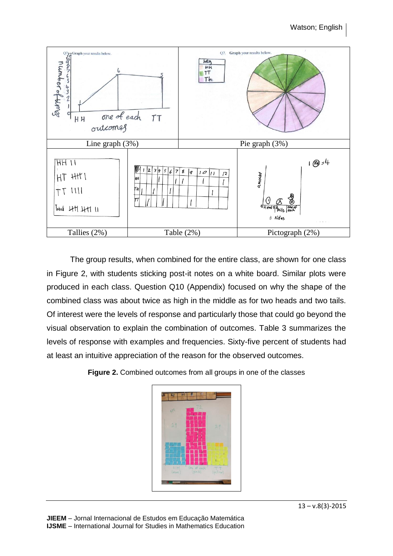

The group results, when combined for the entire class, are shown for one class in Figure 2, with students sticking post-it notes on a white board. Similar plots were produced in each class. Question Q10 (Appendix) focused on why the shape of the combined class was about twice as high in the middle as for two heads and two tails. Of interest were the levels of response and particularly those that could go beyond the visual observation to explain the combination of outcomes. Table 3 summarizes the levels of response with examples and frequencies. Sixty-five percent of students had at least an intuitive appreciation of the reason for the observed outcomes.

**Figure 2.** Combined outcomes from all groups in one of the classes

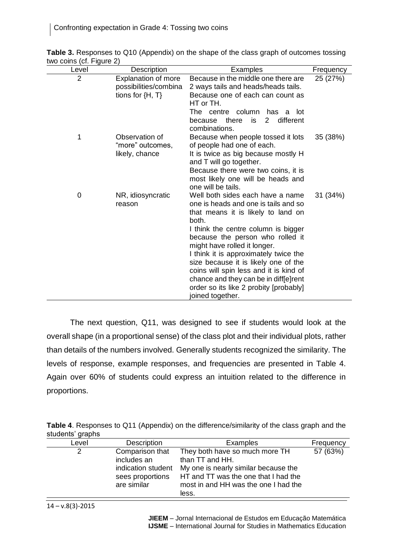| Level          | Description                                                                 | Examples                                                                                                                                                                                                                                                                                                                                                                                                                                                             | Frequency |
|----------------|-----------------------------------------------------------------------------|----------------------------------------------------------------------------------------------------------------------------------------------------------------------------------------------------------------------------------------------------------------------------------------------------------------------------------------------------------------------------------------------------------------------------------------------------------------------|-----------|
| $\overline{2}$ | <b>Explanation of more</b><br>possibilities/combina<br>tions for $\{H, T\}$ | Because in the middle one there are<br>2 ways tails and heads/heads tails.<br>Because one of each can count as<br>HT or TH.<br>column<br>The centre<br>has a<br>lot<br>there<br>$\overline{2}$<br>different<br>is<br>because<br>combinations.                                                                                                                                                                                                                        | 25 (27%)  |
| 1              | Observation of<br>"more" outcomes,<br>likely, chance                        | Because when people tossed it lots<br>of people had one of each.<br>It is twice as big because mostly H<br>and T will go together.<br>Because there were two coins, it is<br>most likely one will be heads and<br>one will be tails.                                                                                                                                                                                                                                 | 35 (38%)  |
| 0              | NR, idiosyncratic<br>reason                                                 | Well both sides each have a name<br>one is heads and one is tails and so<br>that means it is likely to land on<br>both.<br>I think the centre column is bigger<br>because the person who rolled it<br>might have rolled it longer.<br>I think it is approximately twice the<br>size because it is likely one of the<br>coins will spin less and it is kind of<br>chance and they can be in diff[e]rent<br>order so its like 2 probity [probably]<br>joined together. | 31 (34%)  |

**Table 3.** Responses to Q10 (Appendix) on the shape of the class graph of outcomes tossing two coins (cf. Figure 2)

The next question, Q11, was designed to see if students would look at the overall shape (in a proportional sense) of the class plot and their individual plots, rather than details of the numbers involved. Generally students recognized the similarity. The levels of response, example responses, and frequencies are presented in Table 4. Again over 60% of students could express an intuition related to the difference in proportions.

|                  |  | <b>Table 4.</b> Responses to Q11 (Appendix) on the difference/similarity of the class graph and the |  |  |
|------------------|--|-----------------------------------------------------------------------------------------------------|--|--|
| students' graphs |  |                                                                                                     |  |  |

| Level | Description                                                                             | Examples                                                                                                                                                                           | Frequency |
|-------|-----------------------------------------------------------------------------------------|------------------------------------------------------------------------------------------------------------------------------------------------------------------------------------|-----------|
| 2     | Comparison that<br>includes an<br>indication student<br>sees proportions<br>are similar | They both have so much more TH<br>than TT and HH.<br>My one is nearly similar because the<br>HT and TT was the one that I had the<br>most in and HH was the one I had the<br>less. | 57 (63%)  |
|       |                                                                                         |                                                                                                                                                                                    |           |

 $14 - v.8(3) - 2015$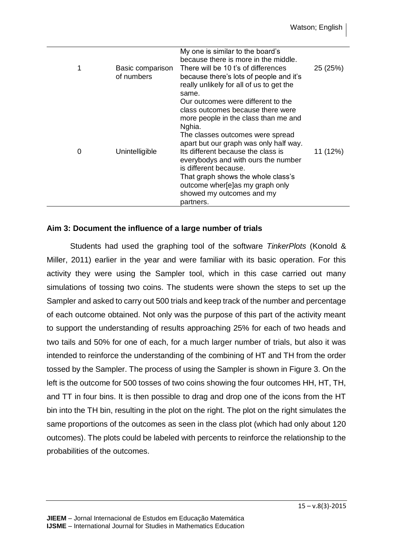| $\mathbf 1$ | Basic comparison<br>of numbers | My one is similar to the board's<br>because there is more in the middle.<br>There will be 10 t's of differences<br>because there's lots of people and it's<br>really unlikely for all of us to get the<br>same.                                                                                                                                                                                                                  | 25 (25%) |
|-------------|--------------------------------|----------------------------------------------------------------------------------------------------------------------------------------------------------------------------------------------------------------------------------------------------------------------------------------------------------------------------------------------------------------------------------------------------------------------------------|----------|
| 0           | Unintelligible                 | Our outcomes were different to the<br>class outcomes because there were<br>more people in the class than me and<br>Nghia.<br>The classes outcomes were spread<br>apart but our graph was only half way.<br>Its different because the class is<br>everybodys and with ours the number<br>is different because.<br>That graph shows the whole class's<br>outcome wher[e]as my graph only<br>showed my outcomes and my<br>partners. | 11 (12%) |

# **Aim 3: Document the influence of a large number of trials**

Students had used the graphing tool of the software *TinkerPlots* (Konold & Miller, 2011) earlier in the year and were familiar with its basic operation. For this activity they were using the Sampler tool, which in this case carried out many simulations of tossing two coins. The students were shown the steps to set up the Sampler and asked to carry out 500 trials and keep track of the number and percentage of each outcome obtained. Not only was the purpose of this part of the activity meant to support the understanding of results approaching 25% for each of two heads and two tails and 50% for one of each, for a much larger number of trials, but also it was intended to reinforce the understanding of the combining of HT and TH from the order tossed by the Sampler. The process of using the Sampler is shown in Figure 3. On the left is the outcome for 500 tosses of two coins showing the four outcomes HH, HT, TH, and TT in four bins. It is then possible to drag and drop one of the icons from the HT bin into the TH bin, resulting in the plot on the right. The plot on the right simulates the same proportions of the outcomes as seen in the class plot (which had only about 120 outcomes). The plots could be labeled with percents to reinforce the relationship to the probabilities of the outcomes.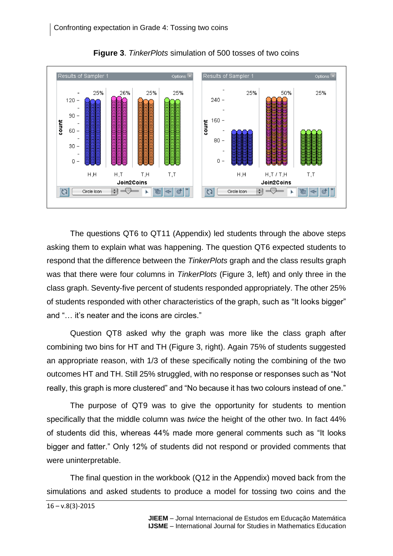

**Figure 3**. *TinkerPlots* simulation of 500 tosses of two coins

The questions QT6 to QT11 (Appendix) led students through the above steps asking them to explain what was happening. The question QT6 expected students to respond that the difference between the *TinkerPlots* graph and the class results graph was that there were four columns in *TinkerPlots* (Figure 3, left) and only three in the class graph. Seventy-five percent of students responded appropriately. The other 25% of students responded with other characteristics of the graph, such as "It looks bigger" and "… it's neater and the icons are circles."

Question QT8 asked why the graph was more like the class graph after combining two bins for HT and TH (Figure 3, right). Again 75% of students suggested an appropriate reason, with 1/3 of these specifically noting the combining of the two outcomes HT and TH. Still 25% struggled, with no response or responses such as "Not really, this graph is more clustered" and "No because it has two colours instead of one."

The purpose of QT9 was to give the opportunity for students to mention specifically that the middle column was *twice* the height of the other two. In fact 44% of students did this, whereas 44% made more general comments such as "It looks bigger and fatter." Only 12% of students did not respond or provided comments that were uninterpretable.

The final question in the workbook (Q12 in the Appendix) moved back from the simulations and asked students to produce a model for tossing two coins and the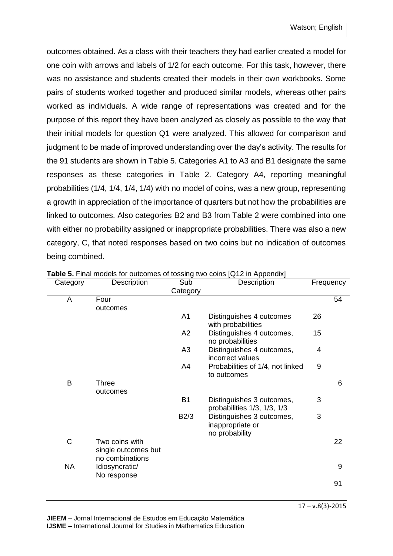outcomes obtained. As a class with their teachers they had earlier created a model for one coin with arrows and labels of 1/2 for each outcome. For this task, however, there was no assistance and students created their models in their own workbooks. Some pairs of students worked together and produced similar models, whereas other pairs worked as individuals. A wide range of representations was created and for the purpose of this report they have been analyzed as closely as possible to the way that their initial models for question Q1 were analyzed. This allowed for comparison and judgment to be made of improved understanding over the day's activity. The results for the 91 students are shown in Table 5. Categories A1 to A3 and B1 designate the same responses as these categories in Table 2. Category A4, reporting meaningful probabilities (1/4, 1/4, 1/4, 1/4) with no model of coins, was a new group, representing a growth in appreciation of the importance of quarters but not how the probabilities are linked to outcomes. Also categories B2 and B3 from Table 2 were combined into one with either no probability assigned or inappropriate probabilities. There was also a new category, C, that noted responses based on two coins but no indication of outcomes being combined.

| Category | Description                                      | Sub<br>Category | Description                                                      | Frequency |    |
|----------|--------------------------------------------------|-----------------|------------------------------------------------------------------|-----------|----|
| A        | Four<br>outcomes                                 |                 |                                                                  |           | 54 |
|          |                                                  | A <sub>1</sub>  | Distinguishes 4 outcomes<br>with probabilities                   | 26        |    |
|          |                                                  | A2              | Distinguishes 4 outcomes,<br>no probabilities                    | 15        |    |
|          |                                                  | A <sub>3</sub>  | Distinguishes 4 outcomes,<br>incorrect values                    | 4         |    |
|          |                                                  | A4              | Probabilities of 1/4, not linked<br>to outcomes                  | 9         |    |
| B        | <b>Three</b><br>outcomes                         |                 |                                                                  |           | 6  |
|          |                                                  | <b>B1</b>       | Distinguishes 3 outcomes,<br>probabilities $1/3$ , $1/3$ , $1/3$ | 3         |    |
|          |                                                  | B2/3            | Distinguishes 3 outcomes,<br>inappropriate or<br>no probability  | 3         |    |
| C        | Two coins with<br>single outcomes but            |                 |                                                                  |           | 22 |
| NA       | no combinations<br>Idiosyncratic/<br>No response |                 |                                                                  |           | 9  |
|          |                                                  |                 |                                                                  |           | 91 |

**Table 5.** Final models for outcomes of tossing two coins [Q12 in Appendix]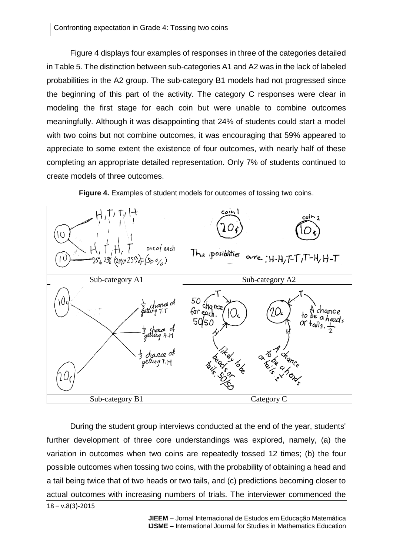Figure 4 displays four examples of responses in three of the categories detailed in Table 5. The distinction between sub-categories A1 and A2 was in the lack of labeled probabilities in the A2 group. The sub-category B1 models had not progressed since the beginning of this part of the activity. The category C responses were clear in modeling the first stage for each coin but were unable to combine outcomes meaningfully. Although it was disappointing that 24% of students could start a model with two coins but not combine outcomes, it was encouraging that 59% appeared to appreciate to some extent the existence of four outcomes, with nearly half of these completing an appropriate detailed representation. Only 7% of students continued to create models of three outcomes.



**Figure 4.** Examples of student models for outcomes of tossing two coins.

 $18 - v.8(3) - 2015$ During the student group interviews conducted at the end of the year, students' further development of three core understandings was explored, namely, (a) the variation in outcomes when two coins are repeatedly tossed 12 times; (b) the four possible outcomes when tossing two coins, with the probability of obtaining a head and a tail being twice that of two heads or two tails, and (c) predictions becoming closer to actual outcomes with increasing numbers of trials. The interviewer commenced the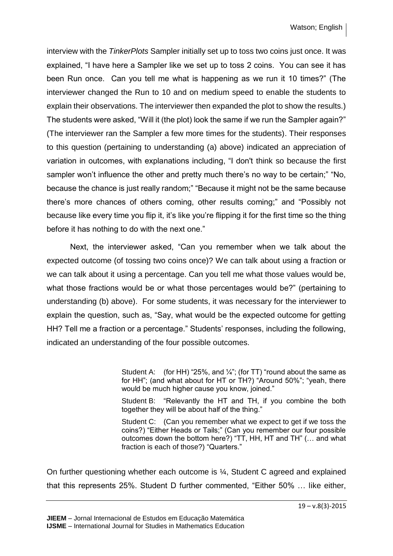interview with the *TinkerPlots* Sampler initially set up to toss two coins just once. It was explained, "I have here a Sampler like we set up to toss 2 coins. You can see it has been Run once. Can you tell me what is happening as we run it 10 times?" (The interviewer changed the Run to 10 and on medium speed to enable the students to explain their observations. The interviewer then expanded the plot to show the results.) The students were asked, "Will it (the plot) look the same if we run the Sampler again?" (The interviewer ran the Sampler a few more times for the students). Their responses to this question (pertaining to understanding (a) above) indicated an appreciation of variation in outcomes, with explanations including, "I don't think so because the first sampler won't influence the other and pretty much there's no way to be certain;" "No, because the chance is just really random;" "Because it might not be the same because there's more chances of others coming, other results coming;" and "Possibly not because like every time you flip it, it's like you're flipping it for the first time so the thing before it has nothing to do with the next one."

Next, the interviewer asked, "Can you remember when we talk about the expected outcome (of tossing two coins once)? We can talk about using a fraction or we can talk about it using a percentage. Can you tell me what those values would be, what those fractions would be or what those percentages would be?" (pertaining to understanding (b) above). For some students, it was necessary for the interviewer to explain the question, such as, "Say, what would be the expected outcome for getting HH? Tell me a fraction or a percentage." Students' responses, including the following, indicated an understanding of the four possible outcomes.

> Student A: (for HH) "25%, and  $\frac{1}{4}$ "; (for TT) "round about the same as for HH"; (and what about for HT or TH?) "Around 50%"; "yeah, there would be much higher cause you know, joined."

> Student B: "Relevantly the HT and TH, if you combine the both together they will be about half of the thing."

> Student C: (Can you remember what we expect to get if we toss the coins?) "Either Heads or Tails;" (Can you remember our four possible outcomes down the bottom here?) "TT, HH, HT and TH" (… and what fraction is each of those?) "Quarters."

On further questioning whether each outcome is ¼, Student C agreed and explained that this represents 25%. Student D further commented, "Either 50% … like either,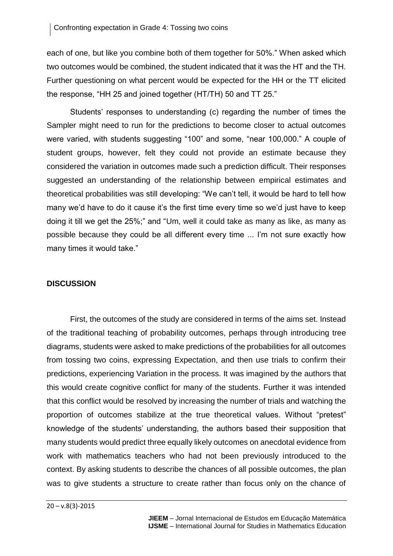each of one, but like you combine both of them together for 50%." When asked which two outcomes would be combined, the student indicated that it was the HT and the TH. Further questioning on what percent would be expected for the HH or the TT elicited the response, "HH 25 and joined together (HT/TH) 50 and TT 25."

Students' responses to understanding (c) regarding the number of times the Sampler might need to run for the predictions to become closer to actual outcomes were varied, with students suggesting "100" and some, "near 100,000." A couple of student groups, however, felt they could not provide an estimate because they considered the variation in outcomes made such a prediction difficult. Their responses suggested an understanding of the relationship between empirical estimates and theoretical probabilities was still developing: "We can't tell, it would be hard to tell how many we'd have to do it cause it's the first time every time so we'd just have to keep doing it till we get the 25%;" and "Um, well it could take as many as like, as many as possible because they could be all different every time ... I'm not sure exactly how many times it would take."

# **DISCUSSION**

First, the outcomes of the study are considered in terms of the aims set. Instead of the traditional teaching of probability outcomes, perhaps through introducing tree diagrams, students were asked to make predictions of the probabilities for all outcomes from tossing two coins, expressing Expectation, and then use trials to confirm their predictions, experiencing Variation in the process. It was imagined by the authors that this would create cognitive conflict for many of the students. Further it was intended that this conflict would be resolved by increasing the number of trials and watching the proportion of outcomes stabilize at the true theoretical values. Without "pretest" knowledge of the students' understanding, the authors based their supposition that many students would predict three equally likely outcomes on anecdotal evidence from work with mathematics teachers who had not been previously introduced to the context. By asking students to describe the chances of all possible outcomes, the plan was to give students a structure to create rather than focus only on the chance of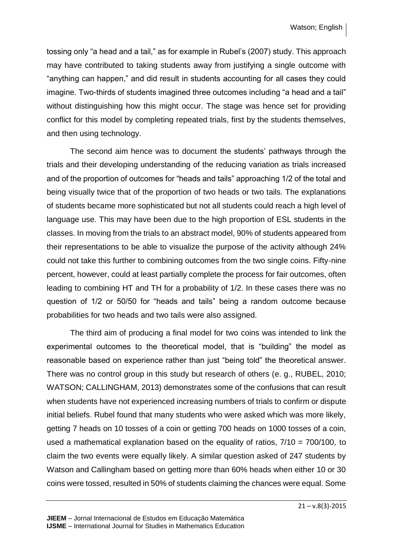tossing only "a head and a tail," as for example in Rubel's (2007) study. This approach may have contributed to taking students away from justifying a single outcome with "anything can happen," and did result in students accounting for all cases they could imagine. Two-thirds of students imagined three outcomes including "a head and a tail" without distinguishing how this might occur. The stage was hence set for providing conflict for this model by completing repeated trials, first by the students themselves, and then using technology.

The second aim hence was to document the students' pathways through the trials and their developing understanding of the reducing variation as trials increased and of the proportion of outcomes for "heads and tails" approaching 1/2 of the total and being visually twice that of the proportion of two heads or two tails. The explanations of students became more sophisticated but not all students could reach a high level of language use. This may have been due to the high proportion of ESL students in the classes. In moving from the trials to an abstract model, 90% of students appeared from their representations to be able to visualize the purpose of the activity although 24% could not take this further to combining outcomes from the two single coins. Fifty-nine percent, however, could at least partially complete the process for fair outcomes, often leading to combining HT and TH for a probability of 1/2. In these cases there was no question of 1/2 or 50/50 for "heads and tails" being a random outcome because probabilities for two heads and two tails were also assigned.

The third aim of producing a final model for two coins was intended to link the experimental outcomes to the theoretical model, that is "building" the model as reasonable based on experience rather than just "being told" the theoretical answer. There was no control group in this study but research of others (e. g., RUBEL, 2010; WATSON; CALLINGHAM, 2013) demonstrates some of the confusions that can result when students have not experienced increasing numbers of trials to confirm or dispute initial beliefs. Rubel found that many students who were asked which was more likely, getting 7 heads on 10 tosses of a coin or getting 700 heads on 1000 tosses of a coin, used a mathematical explanation based on the equality of ratios, 7/10 = 700/100, to claim the two events were equally likely. A similar question asked of 247 students by Watson and Callingham based on getting more than 60% heads when either 10 or 30 coins were tossed, resulted in 50% of students claiming the chances were equal. Some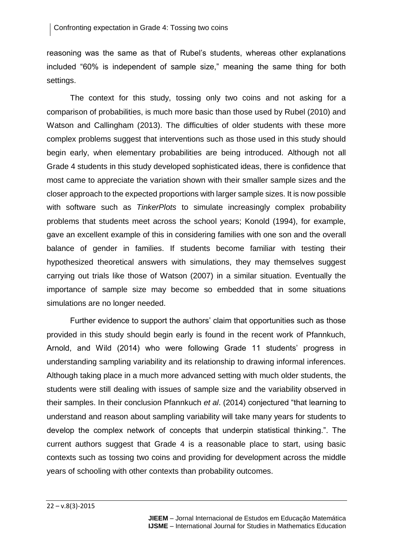reasoning was the same as that of Rubel's students, whereas other explanations included "60% is independent of sample size," meaning the same thing for both settings.

The context for this study, tossing only two coins and not asking for a comparison of probabilities, is much more basic than those used by Rubel (2010) and Watson and Callingham (2013). The difficulties of older students with these more complex problems suggest that interventions such as those used in this study should begin early, when elementary probabilities are being introduced. Although not all Grade 4 students in this study developed sophisticated ideas, there is confidence that most came to appreciate the variation shown with their smaller sample sizes and the closer approach to the expected proportions with larger sample sizes. It is now possible with software such as *TinkerPlots* to simulate increasingly complex probability problems that students meet across the school years; Konold (1994), for example, gave an excellent example of this in considering families with one son and the overall balance of gender in families. If students become familiar with testing their hypothesized theoretical answers with simulations, they may themselves suggest carrying out trials like those of Watson (2007) in a similar situation. Eventually the importance of sample size may become so embedded that in some situations simulations are no longer needed.

Further evidence to support the authors' claim that opportunities such as those provided in this study should begin early is found in the recent work of Pfannkuch, Arnold, and Wild (2014) who were following Grade 11 students' progress in understanding sampling variability and its relationship to drawing informal inferences. Although taking place in a much more advanced setting with much older students, the students were still dealing with issues of sample size and the variability observed in their samples. In their conclusion Pfannkuch *et al*. (2014) conjectured "that learning to understand and reason about sampling variability will take many years for students to develop the complex network of concepts that underpin statistical thinking.". The current authors suggest that Grade 4 is a reasonable place to start, using basic contexts such as tossing two coins and providing for development across the middle years of schooling with other contexts than probability outcomes.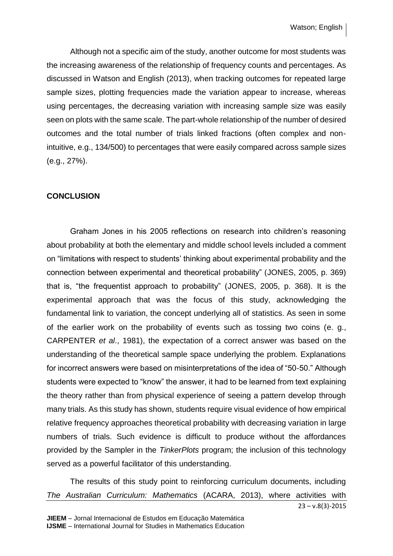Although not a specific aim of the study, another outcome for most students was the increasing awareness of the relationship of frequency counts and percentages. As discussed in Watson and English (2013), when tracking outcomes for repeated large sample sizes, plotting frequencies made the variation appear to increase, whereas using percentages, the decreasing variation with increasing sample size was easily seen on plots with the same scale. The part-whole relationship of the number of desired outcomes and the total number of trials linked fractions (often complex and nonintuitive, e.g., 134/500) to percentages that were easily compared across sample sizes (e.g., 27%).

### **CONCLUSION**

Graham Jones in his 2005 reflections on research into children's reasoning about probability at both the elementary and middle school levels included a comment on "limitations with respect to students' thinking about experimental probability and the connection between experimental and theoretical probability" (JONES, 2005, p. 369) that is, "the frequentist approach to probability" (JONES, 2005, p. 368). It is the experimental approach that was the focus of this study, acknowledging the fundamental link to variation, the concept underlying all of statistics. As seen in some of the earlier work on the probability of events such as tossing two coins (e. g., CARPENTER *et al*., 1981), the expectation of a correct answer was based on the understanding of the theoretical sample space underlying the problem. Explanations for incorrect answers were based on misinterpretations of the idea of "50-50." Although students were expected to "know" the answer, it had to be learned from text explaining the theory rather than from physical experience of seeing a pattern develop through many trials. As this study has shown, students require visual evidence of how empirical relative frequency approaches theoretical probability with decreasing variation in large numbers of trials. Such evidence is difficult to produce without the affordances provided by the Sampler in the *TinkerPlots* program; the inclusion of this technology served as a powerful facilitator of this understanding.

23 – v.8(3)-2015 The results of this study point to reinforcing curriculum documents, including *The Australian Curriculum: Mathematics* (ACARA, 2013), where activities with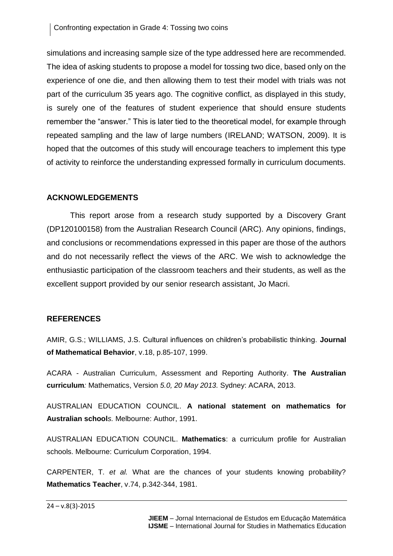simulations and increasing sample size of the type addressed here are recommended. The idea of asking students to propose a model for tossing two dice, based only on the experience of one die, and then allowing them to test their model with trials was not part of the curriculum 35 years ago. The cognitive conflict, as displayed in this study, is surely one of the features of student experience that should ensure students remember the "answer." This is later tied to the theoretical model, for example through repeated sampling and the law of large numbers (IRELAND; WATSON, 2009). It is hoped that the outcomes of this study will encourage teachers to implement this type of activity to reinforce the understanding expressed formally in curriculum documents.

# **ACKNOWLEDGEMENTS**

This report arose from a research study supported by a Discovery Grant (DP120100158) from the Australian Research Council (ARC). Any opinions, findings, and conclusions or recommendations expressed in this paper are those of the authors and do not necessarily reflect the views of the ARC. We wish to acknowledge the enthusiastic participation of the classroom teachers and their students, as well as the excellent support provided by our senior research assistant, Jo Macri.

# **REFERENCES**

AMIR, G.S.; WILLIAMS, J.S. Cultural influences on children's probabilistic thinking. **Journal of Mathematical Behavior**, v.18, p.85-107, 1999.

ACARA - Australian Curriculum, Assessment and Reporting Authority. **The Australian curriculum***:* Mathematics, Version *5.0, 20 May 2013.* Sydney: ACARA, 2013.

AUSTRALIAN EDUCATION COUNCIL. **A national statement on mathematics for Australian school***s.* Melbourne: Author, 1991.

AUSTRALIAN EDUCATION COUNCIL. **Mathematics**: a curriculum profile for Australian schools. Melbourne: Curriculum Corporation, 1994.

CARPENTER, T. *et al.* What are the chances of your students knowing probability? **Mathematics Teacher**, v.74, p.342-344, 1981.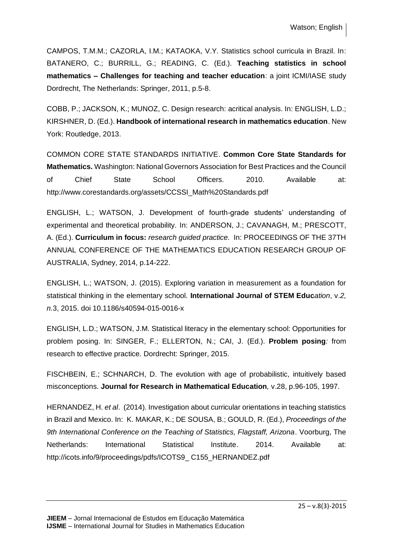CAMPOS, T.M.M.; CAZORLA, I.M.; KATAOKA, V.Y. Statistics school curricula in Brazil. In: BATANERO, C.; BURRILL, G.; READING, C. (Ed.). **Teaching statistics in school mathematics – Challenges for teaching and teacher education**: a joint ICMI/IASE study Dordrecht, The Netherlands: Springer, 2011, p.5-8.

COBB, P.; JACKSON, K.; MUNOZ, C. Design research: acritical analysis. In: ENGLISH, L.D.; KIRSHNER, D. (Ed.). **Handbook of international research in mathematics education**. New York: Routledge, 2013.

COMMON CORE STATE STANDARDS INITIATIVE. **Common Core State Standards for Mathematics.** Washington: National Governors Association for Best Practices and the Council of Chief State School Officers. 2010. Available at: http://www.corestandards.org/assets/CCSSI\_Math%20Standards.pdf

ENGLISH, L.; WATSON, J. Development of fourth-grade students' understanding of experimental and theoretical probability. In: ANDERSON, J.; CAVANAGH, M.; PRESCOTT, A. (Ed.). **Curriculum in focus:** *research guided practice.* In: PROCEEDINGS OF THE 37TH ANNUAL CONFERENCE OF THE MATHEMATICS EDUCATION RESEARCH GROUP OF AUSTRALIA, Sydney, 2014, p.14-222.

ENGLISH, L.; WATSON, J. (2015). Exploring variation in measurement as a foundation for statistical thinking in the elementary school. **International Journal of STEM Educ***ation*, v.*2, n.*3, 2015. doi 10.1186/s40594-015-0016-x

ENGLISH, L.D.; WATSON, J.M. Statistical literacy in the elementary school: Opportunities for problem posing. In: SINGER, F.; ELLERTON, N.; CAI, J. (Ed.). **Problem posing***:* from research to effective practice*.* Dordrecht: Springer, 2015.

FISCHBEIN, E.; SCHNARCH, D. The evolution with age of probabilistic, intuitively based misconceptions. **Journal for Research in Mathematical Education***,* v.28, p.96-105, 1997.

HERNANDEZ, H. *et al*. (2014). Investigation about curricular orientations in teaching statistics in Brazil and Mexico. In: K. MAKAR, K.; DE SOUSA, B.; GOULD, R. (Ed.), *Proceedings of the 9th International Conference on the Teaching of Statistics, Flagstaff, Arizona*. Voorburg, The Netherlands: International Statistical Institute. 2014. Available at: http://icots.info/9/proceedings/pdfs/ICOTS9\_ C155\_HERNANDEZ.pdf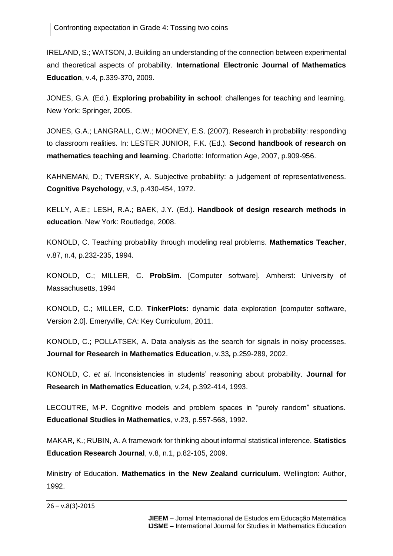IRELAND, S.; WATSON, J. Building an understanding of the connection between experimental and theoretical aspects of probability. **International Electronic Journal of Mathematics Education**, v.4*,* p.339-370, 2009.

JONES, G.A. (Ed.). **Exploring probability in school**: challenges for teaching and learning*.* New York: Springer, 2005.

JONES, G.A.; LANGRALL, C.W.; MOONEY, E.S. (2007). Research in probability: responding to classroom realities. In: LESTER JUNIOR, F.K. (Ed.). **Second handbook of research on mathematics teaching and learning**. Charlotte: Information Age, 2007, p.909-956.

KAHNEMAN, D.; TVERSKY, A. Subjective probability: a judgement of representativeness. **Cognitive Psychology**, v.*3*, p.430-454, 1972.

KELLY, A.E.; LESH, R.A.; BAEK, J.Y. (Ed.). **Handbook of design research methods in education***.* New York: Routledge, 2008.

KONOLD, C. Teaching probability through modeling real problems. **Mathematics Teacher**, v.87, n.4, p.232-235, 1994.

KONOLD, C.; MILLER, C. **ProbSim.** [Computer software]. Amherst: University of Massachusetts, 1994

KONOLD, C.; MILLER, C.D. **TinkerPlots:** dynamic data exploration [computer software, Version 2.0]. Emeryville, CA: Key Curriculum, 2011.

KONOLD, C.; POLLATSEK, A. Data analysis as the search for signals in noisy processes. **Journal for Research in Mathematics Education**, v.33*,* p.259-289, 2002.

KONOLD, C. *et al*. Inconsistencies in students' reasoning about probability. **Journal for Research in Mathematics Education***,* v.24*,* p.392-414, 1993.

LECOUTRE, M-P. Cognitive models and problem spaces in "purely random" situations. **Educational Studies in Mathematics**, v.23, p.557-568, 1992.

MAKAR, K.; RUBIN, A. A framework for thinking about informal statistical inference. **Statistics Education Research Journal**, v.8, n.1, p.82-105, 2009.

Ministry of Education. **Mathematics in the New Zealand curriculum**. Wellington: Author, 1992.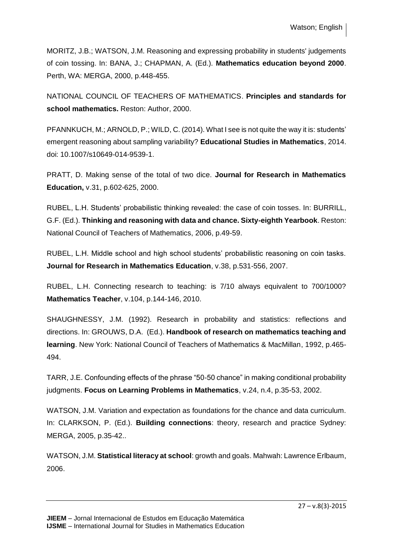MORITZ, J.B.; WATSON, J.M. Reasoning and expressing probability in students' judgements of coin tossing. In: BANA, J.; CHAPMAN, A. (Ed.). **Mathematics education beyond 2000**. Perth, WA: MERGA, 2000, p.448-455.

NATIONAL COUNCIL OF TEACHERS OF MATHEMATICS. **Principles and standards for school mathematics.** Reston: Author, 2000.

PFANNKUCH, M.; ARNOLD, P.; WILD, C. (2014). What I see is not quite the way it is: students' emergent reasoning about sampling variability? **Educational Studies in Mathematics**, 2014. doi: 10.1007/s10649-014-9539-1.

PRATT, D. Making sense of the total of two dice. **Journal for Research in Mathematics Education,** v.31, p.602-625, 2000.

RUBEL, L.H. Students' probabilistic thinking revealed: the case of coin tosses. In: BURRILL, G.F. (Ed.). **Thinking and reasoning with data and chance. Sixty-eighth Yearbook**. Reston: National Council of Teachers of Mathematics, 2006, p.49-59.

RUBEL, L.H. Middle school and high school students' probabilistic reasoning on coin tasks. **Journal for Research in Mathematics Education**, v.38, p.531-556, 2007.

RUBEL, L.H. Connecting research to teaching: is 7/10 always equivalent to 700/1000? **Mathematics Teacher**, v.104, p.144-146, 2010.

SHAUGHNESSY, J.M. (1992). Research in probability and statistics: reflections and directions. In: GROUWS, D.A. (Ed.). **Handbook of research on mathematics teaching and learning**. New York: National Council of Teachers of Mathematics & MacMillan, 1992, p.465- 494.

TARR, J.E. Confounding effects of the phrase "50-50 chance" in making conditional probability judgments. **Focus on Learning Problems in Mathematics**, v.24, n.4, p.35-53, 2002.

WATSON, J.M. Variation and expectation as foundations for the chance and data curriculum. In: CLARKSON, P. (Ed.). **Building connections**: theory, research and practice Sydney: MERGA, 2005, p.35-42..

WATSON, J.M. **Statistical literacy at school**: growth and goals. Mahwah: Lawrence Erlbaum, 2006.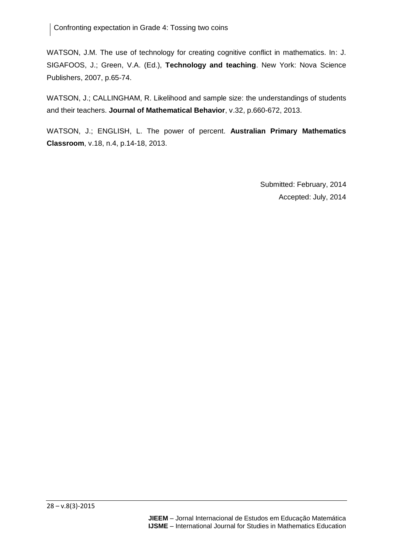WATSON, J.M. The use of technology for creating cognitive conflict in mathematics. In: J. SIGAFOOS, J.; Green, V.A. (Ed.), **Technology and teaching**. New York: Nova Science Publishers, 2007, p.65-74.

WATSON, J.; CALLINGHAM, R. Likelihood and sample size: the understandings of students and their teachers. **Journal of Mathematical Behavior**, v.32, p.660-672, 2013.

WATSON, J.; ENGLISH, L. The power of percent. **Australian Primary Mathematics Classroom**, v.18, n.4, p.14-18, 2013.

> Submitted: February, 2014 Accepted: July, 2014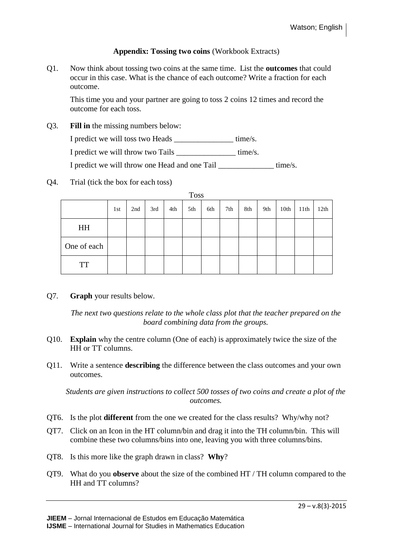### **Appendix: Tossing two coins** (Workbook Extracts)

Q1. Now think about tossing two coins at the same time. List the **outcomes** that could occur in this case. What is the chance of each outcome? Write a fraction for each outcome.

This time you and your partner are going to toss 2 coins 12 times and record the outcome for each toss.

Q3. **Fill in** the missing numbers below:

I predict we will toss two Heads \_\_\_\_\_\_\_\_\_\_\_\_\_\_\_ time/s.

I predict we will throw two Tails \_\_\_\_\_\_\_\_\_\_\_\_\_\_\_ time/s.

I predict we will throw one Head and one Tail \_\_\_\_\_\_\_\_\_\_\_\_\_\_\_\_\_ time/s.

Q4. Trial (tick the box for each toss)

| <b>Toss</b> |     |     |     |     |     |     |     |     |     |      |      |      |
|-------------|-----|-----|-----|-----|-----|-----|-----|-----|-----|------|------|------|
|             | 1st | 2nd | 3rd | 4th | 5th | 6th | 7th | 8th | 9th | 10th | 11th | 12th |
| HH          |     |     |     |     |     |     |     |     |     |      |      |      |
| One of each |     |     |     |     |     |     |     |     |     |      |      |      |
| <b>TT</b>   |     |     |     |     |     |     |     |     |     |      |      |      |

Q7. **Graph** your results below.

*The next two questions relate to the whole class plot that the teacher prepared on the board combining data from the groups.*

- Q10. **Explain** why the centre column (One of each) is approximately twice the size of the HH or TT columns.
- Q11. Write a sentence **describing** the difference between the class outcomes and your own outcomes.

*Students are given instructions to collect 500 tosses of two coins and create a plot of the outcomes.*

- QT6. Is the plot **different** from the one we created for the class results? Why/why not?
- QT7. Click on an Icon in the HT column/bin and drag it into the TH column/bin. This will combine these two columns/bins into one, leaving you with three columns/bins.
- QT8. Is this more like the graph drawn in class? **Why**?
- QT9. What do you **observe** about the size of the combined HT / TH column compared to the HH and TT columns?